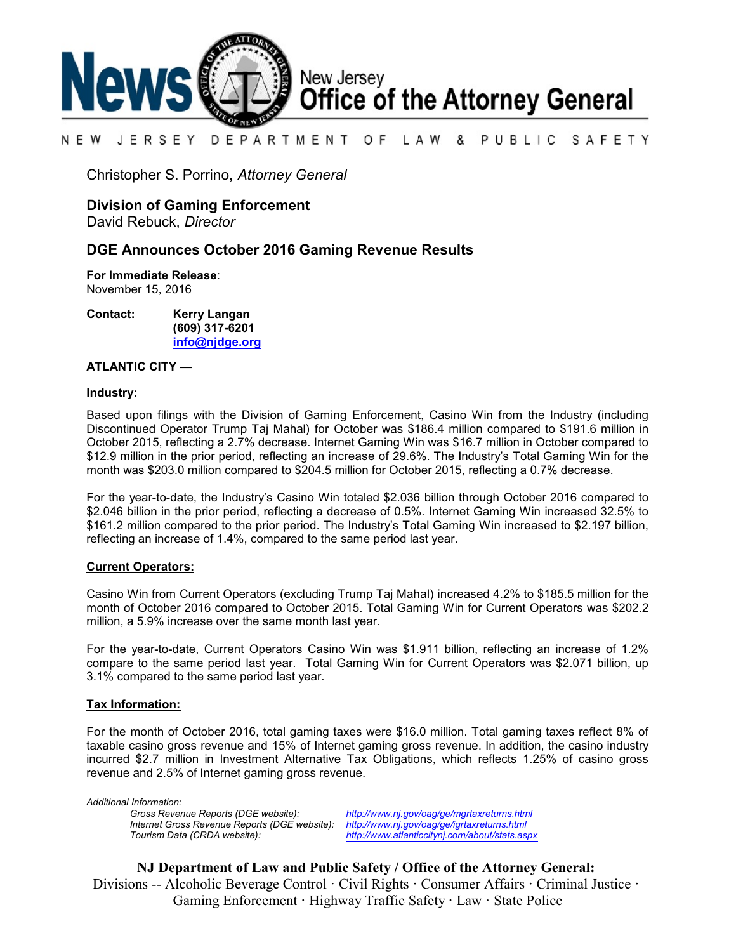

#### N E W JERSEY DEPARTMENT O F L A W & PUBLIC SAFETY

Christopher S. Porrino, *Attorney General*

# **Division of Gaming Enforcement**

David Rebuck, *Director*

## **DGE Announces October 2016 Gaming Revenue Results**

**For Immediate Release**: November 15, 2016

**Contact: Kerry Langan (609) 317-6201 [info@njdge.org](file:///|//info@njdge.org)**

#### **ATLANTIC CITY —**

#### **Industry:**

Based upon filings with the Division of Gaming Enforcement, Casino Win from the Industry (including Discontinued Operator Trump Taj Mahal) for October was \$186.4 million compared to \$191.6 million in October 2015, reflecting a 2.7% decrease. Internet Gaming Win was \$16.7 million in October compared to \$12.9 million in the prior period, reflecting an increase of 29.6%. The Industry's Total Gaming Win for the month was \$203.0 million compared to \$204.5 million for October 2015, reflecting a 0.7% decrease.

For the year-to-date, the Industry's Casino Win totaled \$2.036 billion through October 2016 compared to \$2.046 billion in the prior period, reflecting a decrease of 0.5%. Internet Gaming Win increased 32.5% to \$161.2 million compared to the prior period. The Industry's Total Gaming Win increased to \$2.197 billion, reflecting an increase of 1.4%, compared to the same period last year.

### **Current Operators:**

Casino Win from Current Operators (excluding Trump Taj Mahal) increased 4.2% to \$185.5 million for the month of October 2016 compared to October 2015. Total Gaming Win for Current Operators was \$202.2 million, a 5.9% increase over the same month last year.

For the year-to-date, Current Operators Casino Win was \$1.911 billion, reflecting an increase of 1.2% compare to the same period last year. Total Gaming Win for Current Operators was \$2.071 billion, up 3.1% compared to the same period last year.

### **Tax Information:**

For the month of October 2016, total gaming taxes were \$16.0 million. Total gaming taxes reflect 8% of taxable casino gross revenue and 15% of Internet gaming gross revenue. In addition, the casino industry incurred \$2.7 million in Investment Alternative Tax Obligations, which reflects 1.25% of casino gross revenue and 2.5% of Internet gaming gross revenue.

*Additional Information: Internet Gross Revenue Reports (DGE website):*<br>Tourism Data (CRDA website):

*Gross Revenue Reports (DGE website): <http://www.nj.gov/oag/ge/mgrtaxreturns.html> Tourism Data (CRDA website): <http://www.atlanticcitynj.com/about/stats.aspx>*

**NJ Department of Law and Public Safety / Office of the Attorney General:** Divisions -- Alcoholic Beverage Control · Civil Rights **·** Consumer Affairs **·** Criminal Justice **·**  Gaming Enforcement **·** Highway Traffic Safety **·** Law · State Police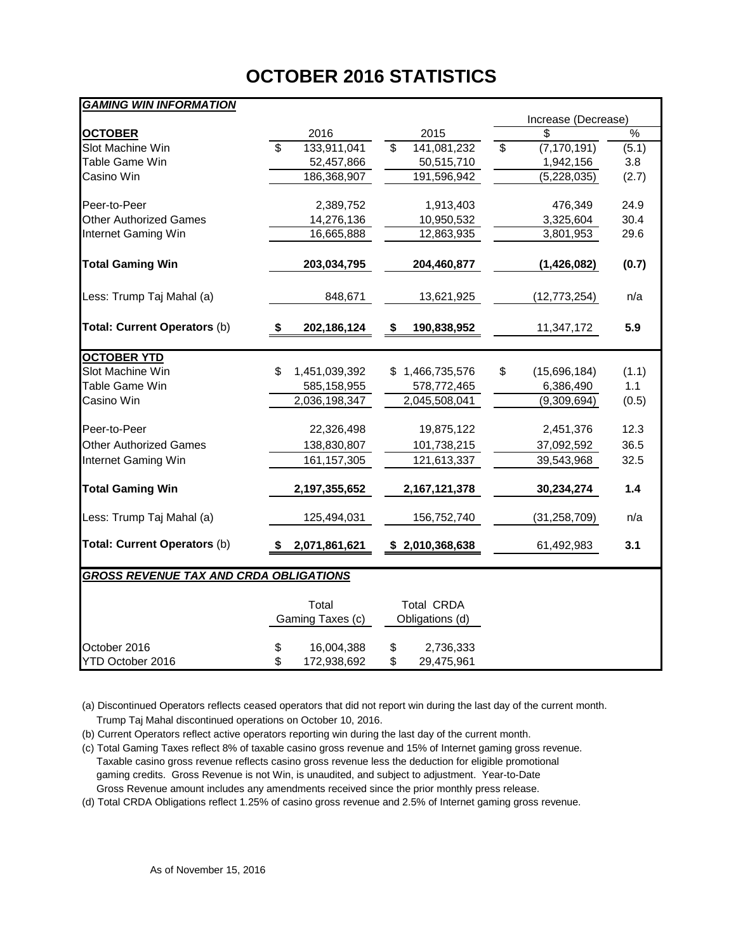# **OCTOBER 2016 STATISTICS**

# *GAMING WIN INFORMATION*

|                                               |                          |                  |    |                   |    | Increase (Decrease) |               |  |  |  |  |  |  |
|-----------------------------------------------|--------------------------|------------------|----|-------------------|----|---------------------|---------------|--|--|--|--|--|--|
| <b>OCTOBER</b>                                |                          | 2016             |    | 2015              |    | S                   | $\frac{1}{2}$ |  |  |  |  |  |  |
| Slot Machine Win                              | $\overline{\mathcal{S}}$ | 133,911,041      | \$ | 141,081,232       | \$ | (7, 170, 191)       | (5.1)         |  |  |  |  |  |  |
| Table Game Win                                |                          | 52,457,866       |    | 50,515,710        |    | 1,942,156           | 3.8           |  |  |  |  |  |  |
| Casino Win                                    |                          | 186,368,907      |    | 191,596,942       |    | (5,228,035)         | (2.7)         |  |  |  |  |  |  |
| Peer-to-Peer                                  |                          | 2,389,752        |    | 1,913,403         |    | 476,349             | 24.9          |  |  |  |  |  |  |
| <b>Other Authorized Games</b>                 |                          | 14,276,136       |    | 10,950,532        |    | 3,325,604           | 30.4          |  |  |  |  |  |  |
| Internet Gaming Win                           |                          | 16,665,888       |    | 12,863,935        |    | 3,801,953           | 29.6          |  |  |  |  |  |  |
| <b>Total Gaming Win</b>                       |                          | 203,034,795      |    | 204,460,877       |    | (1,426,082)         | (0.7)         |  |  |  |  |  |  |
| Less: Trump Taj Mahal (a)                     |                          | 848,671          |    | 13,621,925        |    | (12, 773, 254)      | n/a           |  |  |  |  |  |  |
| Total: Current Operators (b)                  | S.                       | 202,186,124      | \$ | 190,838,952       |    | 11,347,172          | 5.9           |  |  |  |  |  |  |
| <b>OCTOBER YTD</b>                            |                          |                  |    |                   |    |                     |               |  |  |  |  |  |  |
| Slot Machine Win                              | \$.                      | 1,451,039,392    |    | 1,466,735,576     | \$ | (15,696,184)        | (1.1)         |  |  |  |  |  |  |
| Table Game Win                                |                          | 585,158,955      |    | 578,772,465       |    | 6,386,490           | 1.1           |  |  |  |  |  |  |
| Casino Win                                    |                          | 2,036,198,347    |    | 2,045,508,041     |    | (9,309,694)         | (0.5)         |  |  |  |  |  |  |
| Peer-to-Peer                                  |                          | 22,326,498       |    | 19,875,122        |    | 2,451,376           | 12.3          |  |  |  |  |  |  |
| <b>Other Authorized Games</b>                 |                          | 138,830,807      |    | 101,738,215       |    | 37,092,592          | 36.5          |  |  |  |  |  |  |
| Internet Gaming Win                           |                          | 161, 157, 305    |    | 121,613,337       |    | 39,543,968          | 32.5          |  |  |  |  |  |  |
| <b>Total Gaming Win</b>                       |                          | 2,197,355,652    |    | 2,167,121,378     |    | 30,234,274          | 1.4           |  |  |  |  |  |  |
| Less: Trump Taj Mahal (a)                     |                          | 125,494,031      |    | 156,752,740       |    | (31, 258, 709)      | n/a           |  |  |  |  |  |  |
| Total: Current Operators (b)                  |                          | 2,071,861,621    |    | \$2,010,368,638   |    | 61,492,983          | 3.1           |  |  |  |  |  |  |
| <b>GROSS REVENUE TAX AND CRDA OBLIGATIONS</b> |                          |                  |    |                   |    |                     |               |  |  |  |  |  |  |
|                                               |                          | Total            |    | <b>Total CRDA</b> |    |                     |               |  |  |  |  |  |  |
|                                               |                          | Gaming Taxes (c) |    | Obligations (d)   |    |                     |               |  |  |  |  |  |  |
| October 2016                                  | \$                       | 16,004,388       | \$ | 2,736,333         |    |                     |               |  |  |  |  |  |  |
| YTD October 2016                              | \$                       | 172,938,692      | \$ | 29,475,961        |    |                     |               |  |  |  |  |  |  |

(a) Discontinued Operators reflects ceased operators that did not report win during the last day of the current month. Trump Taj Mahal discontinued operations on October 10, 2016.

(b) Current Operators reflect active operators reporting win during the last day of the current month.

(c) Total Gaming Taxes reflect 8% of taxable casino gross revenue and 15% of Internet gaming gross revenue. Taxable casino gross revenue reflects casino gross revenue less the deduction for eligible promotional gaming credits. Gross Revenue is not Win, is unaudited, and subject to adjustment. Year-to-Date Gross Revenue amount includes any amendments received since the prior monthly press release.

(d) Total CRDA Obligations reflect 1.25% of casino gross revenue and 2.5% of Internet gaming gross revenue.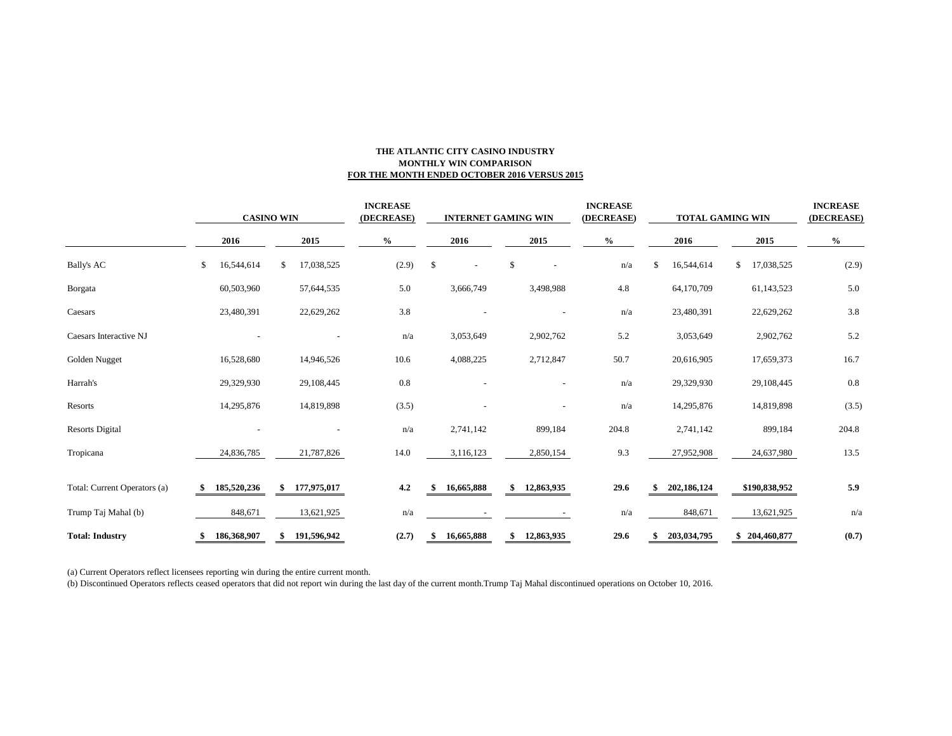#### **THE ATLANTIC CITY CASINO INDUSTRY MONTHLY WIN COMPARISON FOR THE MONTH ENDED OCTOBER 2016 VERSUS 2015**

|                              | <b>CASINO WIN</b> |             |    | <b>INCREASE</b><br>(DECREASE) |      | <b>INTERNET GAMING WIN</b> |              |            |    |                          | <b>INCREASE</b><br>(DECREASE) | <b>TOTAL GAMING WIN</b> |    |             |    | <b>INCREASE</b><br>(DECREASE) |               |       |
|------------------------------|-------------------|-------------|----|-------------------------------|------|----------------------------|--------------|------------|----|--------------------------|-------------------------------|-------------------------|----|-------------|----|-------------------------------|---------------|-------|
|                              | 2016              |             |    | 2015                          | $\%$ |                            |              | 2016       |    | 2015                     |                               | $\%$                    |    | 2016        |    | 2015                          | $\frac{6}{6}$ |       |
| <b>Bally's AC</b>            | \$                | 16,544,614  | \$ | 17,038,525                    |      | (2.9)                      | $\mathbb{S}$ |            | \$ |                          |                               | n/a                     | \$ | 16,544,614  | \$ | 17,038,525                    |               | (2.9) |
| Borgata                      |                   | 60,503,960  |    | 57,644,535                    |      | 5.0                        |              | 3,666,749  |    | 3,498,988                |                               | 4.8                     |    | 64,170,709  |    | 61,143,523                    |               | 5.0   |
| Caesars                      |                   | 23,480,391  |    | 22,629,262                    |      | 3.8                        |              |            |    |                          |                               | n/a                     |    | 23,480,391  |    | 22,629,262                    |               | 3.8   |
| Caesars Interactive NJ       |                   |             |    |                               |      | n/a                        |              | 3,053,649  |    | 2,902,762                |                               | 5.2                     |    | 3,053,649   |    | 2,902,762                     |               | 5.2   |
| Golden Nugget                |                   | 16,528,680  |    | 14,946,526                    |      | 10.6                       |              | 4,088,225  |    | 2,712,847                |                               | 50.7                    |    | 20,616,905  |    | 17,659,373                    | 16.7          |       |
| Harrah's                     |                   | 29,329,930  |    | 29,108,445                    |      | $0.8\,$                    |              |            |    |                          |                               | n/a                     |    | 29,329,930  |    | 29,108,445                    |               | 0.8   |
| Resorts                      |                   | 14,295,876  |    | 14,819,898                    |      | (3.5)                      |              |            |    | $\overline{\phantom{a}}$ |                               | n/a                     |    | 14,295,876  |    | 14,819,898                    |               | (3.5) |
| <b>Resorts Digital</b>       |                   |             |    |                               |      | n/a                        |              | 2,741,142  |    | 899,184                  |                               | 204.8                   |    | 2,741,142   |    | 899,184                       | 204.8         |       |
| Tropicana                    |                   | 24,836,785  |    | 21,787,826                    |      | 14.0                       |              | 3,116,123  |    | 2,850,154                |                               | 9.3                     |    | 27,952,908  |    | 24,637,980                    |               | 13.5  |
| Total: Current Operators (a) |                   | 185,520,236 |    | 177,975,017                   |      | 4.2                        |              | 16,665,888 | S  | 12,863,935               |                               | 29.6                    |    | 202,186,124 |    | \$190,838,952                 |               | 5.9   |
| Trump Taj Mahal (b)          |                   | 848,671     |    | 13,621,925                    |      | n/a                        |              |            |    |                          |                               | n/a                     |    | 848,671     |    | 13,621,925                    |               | n/a   |
| <b>Total: Industry</b>       |                   | 186,368,907 |    | 191,596,942                   |      | (2.7)                      |              | 16,665,888 | \$ | 12,863,935               |                               | 29.6                    |    | 203,034,795 |    | \$204,460,877                 |               | (0.7) |

(a) Current Operators reflect licensees reporting win during the entire current month.

(b) Discontinued Operators reflects ceased operators that did not report win during the last day of the current month.Trump Taj Mahal discontinued operations on October 10, 2016.